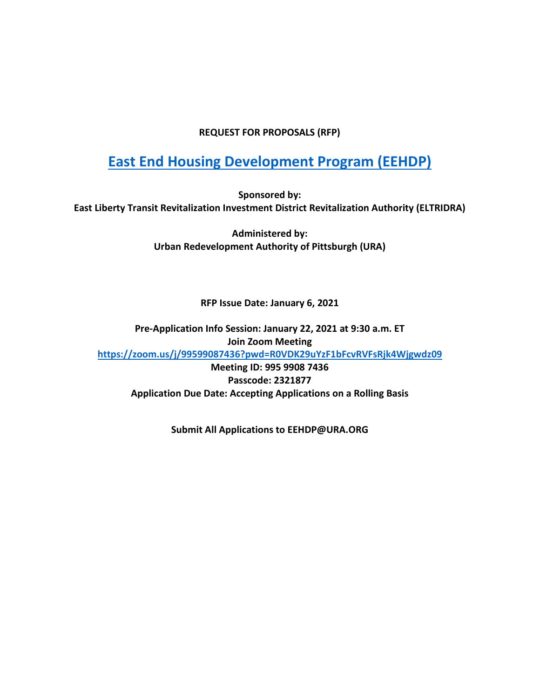#### **REQUEST FOR PROPOSALS (RFP)**

# **[East End Housing Development Program](https://www.ura.org/media/W1siZiIsIjIwMjEvMDEvMDUvNDh3MjN2NmNsZl9FeGhpYml0X0FfRUVIRFBfR3VpZGVsaW5lcy5wZGYiXV0/Exhibit%20A%20-%20EEHDP%20Guidelines.pdf) (EEHDP)**

**Sponsored by: East Liberty Transit Revitalization Investment District Revitalization Authority (ELTRIDRA)** 

> **Administered by: Urban Redevelopment Authority of Pittsburgh (URA)**

> > **RFP Issue Date: January 6, 2021**

**Pre-Application Info Session: January 22, 2021 at 9:30 a.m. ET Join Zoom Meeting <https://zoom.us/j/99599087436?pwd=R0VDK29uYzF1bFcvRVFsRjk4Wjgwdz09> Meeting ID: 995 9908 7436 Passcode: 2321877 Application Due Date: Accepting Applications on a Rolling Basis**

**Submit All Applications to EEHDP@URA.ORG**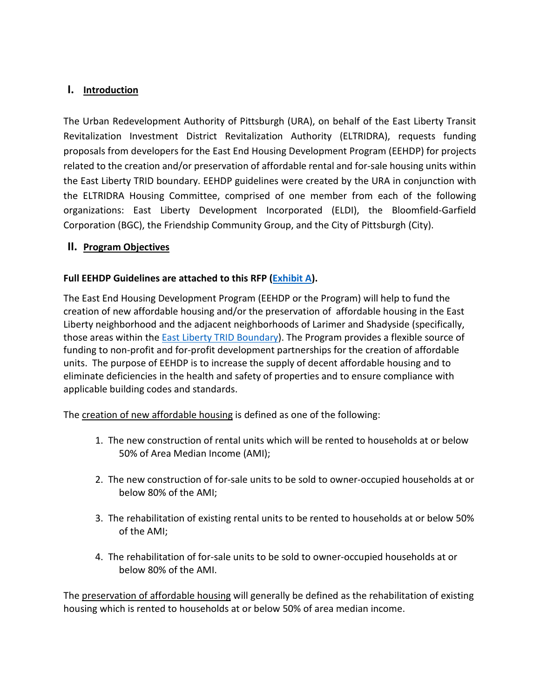# **I. Introduction**

The Urban Redevelopment Authority of Pittsburgh (URA), on behalf of the East Liberty Transit Revitalization Investment District Revitalization Authority (ELTRIDRA), requests funding proposals from developers for the East End Housing Development Program (EEHDP) for projects related to the creation and/or preservation of affordable rental and for-sale housing units within the East Liberty TRID boundary. EEHDP guidelines were created by the URA in conjunction with the ELTRIDRA Housing Committee, comprised of one member from each of the following organizations: East Liberty Development Incorporated (ELDI), the Bloomfield-Garfield Corporation (BGC), the Friendship Community Group, and the City of Pittsburgh (City).

## **II. Program Objectives**

# **Full EEHDP Guidelines are attached to this RFP [\(Exhibit A\)](https://www.ura.org/media/W1siZiIsIjIwMjEvMDEvMDUvNDh3MjN2NmNsZl9FeGhpYml0X0FfRUVIRFBfR3VpZGVsaW5lcy5wZGYiXV0/Exhibit%20A%20-%20EEHDP%20Guidelines.pdf).**

The East End Housing Development Program (EEHDP or the Program) will help to fund the creation of new affordable housing and/or the preservation of affordable housing in the East Liberty neighborhood and the adjacent neighborhoods of Larimer and Shadyside (specifically, those areas within the [East Liberty TRID Boundary\)](https://www.ura.org/media/W1siZiIsIjIwMjEvMDEvMDUvNXBpMmp0a2xtbF9FeGhpYml0X0JfRWFzdF9MaWJlcnR5X1RSSURfQm91bmRhcnlfTWFwLmpwZyJdXQ/Exhibit%20B%20-%20East%20Liberty%20TRID%20Boundary%20Map.jpg). The Program provides a flexible source of funding to non-profit and for-profit development partnerships for the creation of affordable units. The purpose of EEHDP is to increase the supply of decent affordable housing and to eliminate deficiencies in the health and safety of properties and to ensure compliance with applicable building codes and standards.

The creation of new affordable housing is defined as one of the following:

- 1. The new construction of rental units which will be rented to households at or below 50% of Area Median Income (AMI);
- 2. The new construction of for-sale units to be sold to owner-occupied households at or below 80% of the AMI;
- 3. The rehabilitation of existing rental units to be rented to households at or below 50% of the AMI;
- 4. The rehabilitation of for-sale units to be sold to owner-occupied households at or below 80% of the AMI.

The preservation of affordable housing will generally be defined as the rehabilitation of existing housing which is rented to households at or below 50% of area median income.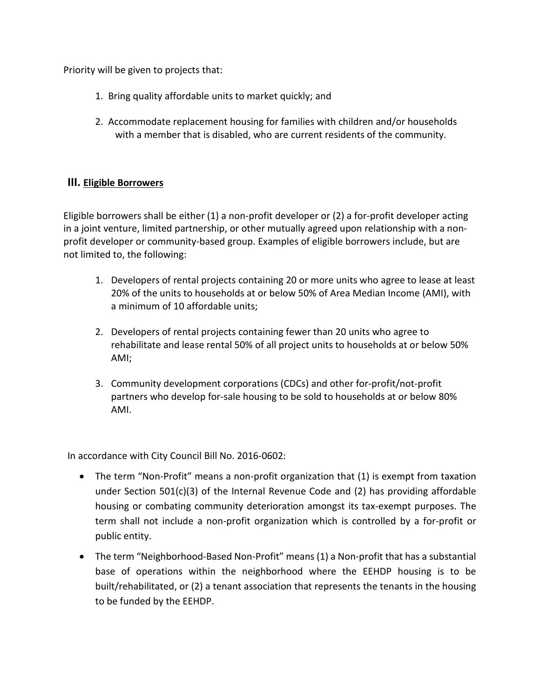Priority will be given to projects that:

- 1. Bring quality affordable units to market quickly; and
- 2. Accommodate replacement housing for families with children and/or households with a member that is disabled, who are current residents of the community.

# **III. Eligible Borrowers**

Eligible borrowers shall be either (1) a non-profit developer or (2) a for-profit developer acting in a joint venture, limited partnership, or other mutually agreed upon relationship with a nonprofit developer or community-based group. Examples of eligible borrowers include, but are not limited to, the following:

- 1. Developers of rental projects containing 20 or more units who agree to lease at least 20% of the units to households at or below 50% of Area Median Income (AMI), with a minimum of 10 affordable units;
- 2. Developers of rental projects containing fewer than 20 units who agree to rehabilitate and lease rental 50% of all project units to households at or below 50% AMI;
- 3. Community development corporations (CDCs) and other for-profit/not-profit partners who develop for-sale housing to be sold to households at or below 80% AMI.

In accordance with City Council Bill No. 2016-0602:

- The term "Non-Profit" means a non-profit organization that (1) is exempt from taxation under Section 501(c)(3) of the Internal Revenue Code and (2) has providing affordable housing or combating community deterioration amongst its tax-exempt purposes. The term shall not include a non-profit organization which is controlled by a for-profit or public entity.
- The term "Neighborhood-Based Non-Profit" means (1) a Non-profit that has a substantial base of operations within the neighborhood where the EEHDP housing is to be built/rehabilitated, or (2) a tenant association that represents the tenants in the housing to be funded by the EEHDP.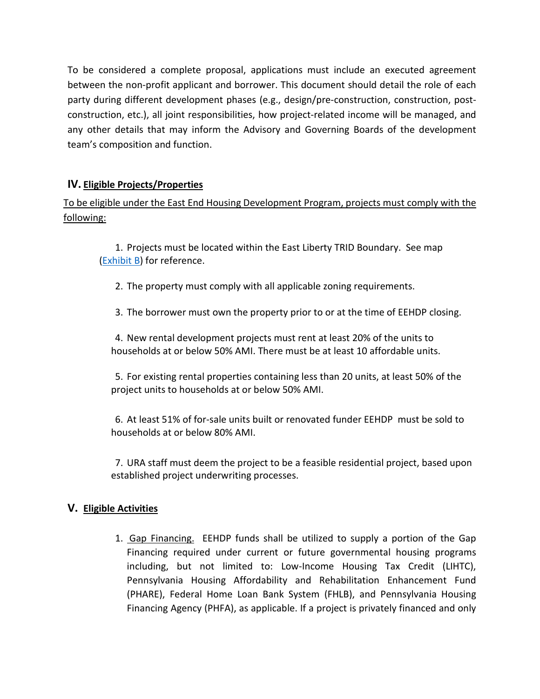To be considered a complete proposal, applications must include an executed agreement between the non-profit applicant and borrower. This document should detail the role of each party during different development phases (e.g., design/pre-construction, construction, postconstruction, etc.), all joint responsibilities, how project-related income will be managed, and any other details that may inform the Advisory and Governing Boards of the development team's composition and function.

# **IV. Eligible Projects/Properties**

To be eligible under the East End Housing Development Program, projects must comply with the following:

1. Projects must be located within the East Liberty TRID Boundary. See map [\(Exhibit B\)](https://www.ura.org/media/W1siZiIsIjIwMjEvMDEvMDUvNXBpMmp0a2xtbF9FeGhpYml0X0JfRWFzdF9MaWJlcnR5X1RSSURfQm91bmRhcnlfTWFwLmpwZyJdXQ/Exhibit%20B%20-%20East%20Liberty%20TRID%20Boundary%20Map.jpg) for reference.

- 2. The property must comply with all applicable zoning requirements.
- 3. The borrower must own the property prior to or at the time of EEHDP closing.

4. New rental development projects must rent at least 20% of the units to households at or below 50% AMI. There must be at least 10 affordable units.

5. For existing rental properties containing less than 20 units, at least 50% of the project units to households at or below 50% AMI.

6. At least 51% of for-sale units built or renovated funder EEHDP must be sold to households at or below 80% AMI.

7. URA staff must deem the project to be a feasible residential project, based upon established project underwriting processes.

## **V. Eligible Activities**

1. Gap Financing. EEHDP funds shall be utilized to supply a portion of the Gap Financing required under current or future governmental housing programs including, but not limited to: Low-Income Housing Tax Credit (LIHTC), Pennsylvania Housing Affordability and Rehabilitation Enhancement Fund (PHARE), Federal Home Loan Bank System (FHLB), and Pennsylvania Housing Financing Agency (PHFA), as applicable. If a project is privately financed and only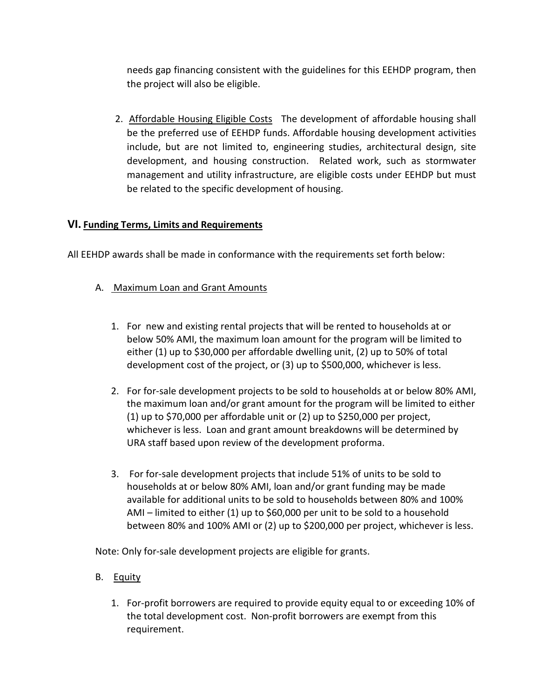needs gap financing consistent with the guidelines for this EEHDP program, then the project will also be eligible.

2. Affordable Housing Eligible Costs The development of affordable housing shall be the preferred use of EEHDP funds. Affordable housing development activities include, but are not limited to, engineering studies, architectural design, site development, and housing construction. Related work, such as stormwater management and utility infrastructure, are eligible costs under EEHDP but must be related to the specific development of housing.

# **VI. Funding Terms, Limits and Requirements**

All EEHDP awards shall be made in conformance with the requirements set forth below:

- A. Maximum Loan and Grant Amounts
	- 1. For new and existing rental projects that will be rented to households at or below 50% AMI, the maximum loan amount for the program will be limited to either (1) up to \$30,000 per affordable dwelling unit, (2) up to 50% of total development cost of the project, or (3) up to \$500,000, whichever is less.
	- 2. For for-sale development projects to be sold to households at or below 80% AMI, the maximum loan and/or grant amount for the program will be limited to either (1) up to \$70,000 per affordable unit or (2) up to \$250,000 per project, whichever is less. Loan and grant amount breakdowns will be determined by URA staff based upon review of the development proforma.
	- 3. For for-sale development projects that include 51% of units to be sold to households at or below 80% AMI, loan and/or grant funding may be made available for additional units to be sold to households between 80% and 100% AMI – limited to either (1) up to \$60,000 per unit to be sold to a household between 80% and 100% AMI or (2) up to \$200,000 per project, whichever is less.

Note: Only for-sale development projects are eligible for grants.

- B. Equity
	- 1. For-profit borrowers are required to provide equity equal to or exceeding 10% of the total development cost. Non-profit borrowers are exempt from this requirement.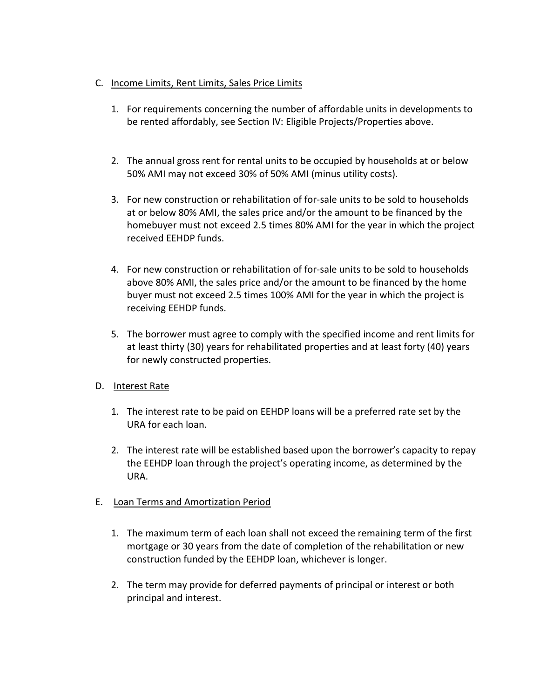#### C. Income Limits, Rent Limits, Sales Price Limits

- 1. For requirements concerning the number of affordable units in developments to be rented affordably, see Section IV: Eligible Projects/Properties above.
- 2. The annual gross rent for rental units to be occupied by households at or below 50% AMI may not exceed 30% of 50% AMI (minus utility costs).
- 3. For new construction or rehabilitation of for-sale units to be sold to households at or below 80% AMI, the sales price and/or the amount to be financed by the homebuyer must not exceed 2.5 times 80% AMI for the year in which the project received EEHDP funds.
- 4. For new construction or rehabilitation of for-sale units to be sold to households above 80% AMI, the sales price and/or the amount to be financed by the home buyer must not exceed 2.5 times 100% AMI for the year in which the project is receiving EEHDP funds.
- 5. The borrower must agree to comply with the specified income and rent limits for at least thirty (30) years for rehabilitated properties and at least forty (40) years for newly constructed properties.
- D. Interest Rate
	- 1. The interest rate to be paid on EEHDP loans will be a preferred rate set by the URA for each loan.
	- 2. The interest rate will be established based upon the borrower's capacity to repay the EEHDP loan through the project's operating income, as determined by the URA.
- E. Loan Terms and Amortization Period
	- 1. The maximum term of each loan shall not exceed the remaining term of the first mortgage or 30 years from the date of completion of the rehabilitation or new construction funded by the EEHDP loan, whichever is longer.
	- 2. The term may provide for deferred payments of principal or interest or both principal and interest.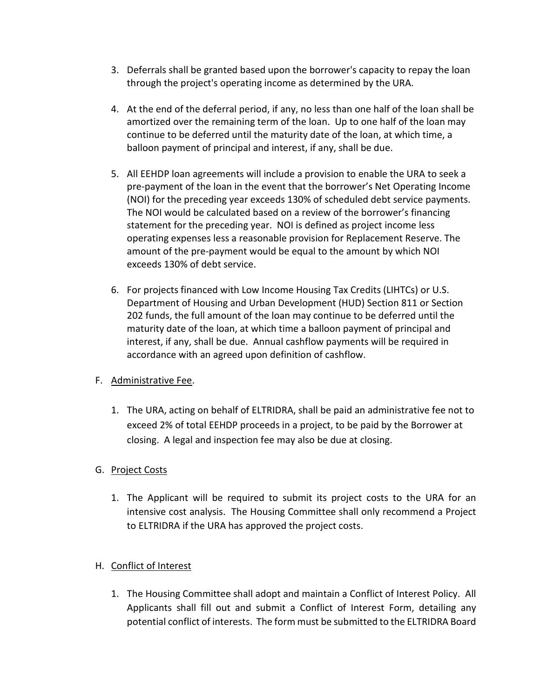- 3. Deferrals shall be granted based upon the borrower's capacity to repay the loan through the project's operating income as determined by the URA.
- 4. At the end of the deferral period, if any, no less than one half of the loan shall be amortized over the remaining term of the loan. Up to one half of the loan may continue to be deferred until the maturity date of the loan, at which time, a balloon payment of principal and interest, if any, shall be due.
- 5. All EEHDP loan agreements will include a provision to enable the URA to seek a pre-payment of the loan in the event that the borrower's Net Operating Income (NOI) for the preceding year exceeds 130% of scheduled debt service payments. The NOI would be calculated based on a review of the borrower's financing statement for the preceding year. NOI is defined as project income less operating expenses less a reasonable provision for Replacement Reserve. The amount of the pre-payment would be equal to the amount by which NOI exceeds 130% of debt service.
- 6. For projects financed with Low Income Housing Tax Credits (LIHTCs) or U.S. Department of Housing and Urban Development (HUD) Section 811 or Section 202 funds, the full amount of the loan may continue to be deferred until the maturity date of the loan, at which time a balloon payment of principal and interest, if any, shall be due. Annual cashflow payments will be required in accordance with an agreed upon definition of cashflow.

# F. Administrative Fee.

1. The URA, acting on behalf of ELTRIDRA, shall be paid an administrative fee not to exceed 2% of total EEHDP proceeds in a project, to be paid by the Borrower at closing. A legal and inspection fee may also be due at closing.

# G. Project Costs

1. The Applicant will be required to submit its project costs to the URA for an intensive cost analysis. The Housing Committee shall only recommend a Project to ELTRIDRA if the URA has approved the project costs.

# H. Conflict of Interest

1. The Housing Committee shall adopt and maintain a Conflict of Interest Policy. All Applicants shall fill out and submit a Conflict of Interest Form, detailing any potential conflict of interests. The form must be submitted to the ELTRIDRA Board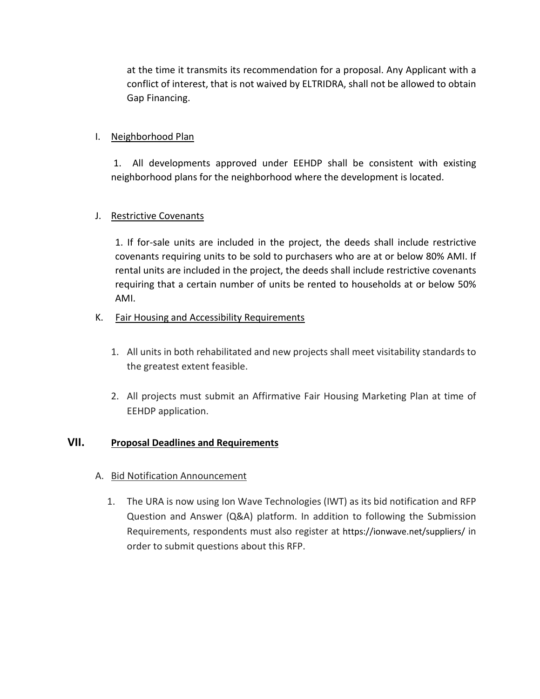at the time it transmits its recommendation for a proposal. Any Applicant with a conflict of interest, that is not waived by ELTRIDRA, shall not be allowed to obtain Gap Financing.

## I. Neighborhood Plan

1. All developments approved under EEHDP shall be consistent with existing neighborhood plans for the neighborhood where the development is located.

## J. Restrictive Covenants

1. If for-sale units are included in the project, the deeds shall include restrictive covenants requiring units to be sold to purchasers who are at or below 80% AMI. If rental units are included in the project, the deeds shall include restrictive covenants requiring that a certain number of units be rented to households at or below 50% AMI.

#### K. Fair Housing and Accessibility Requirements

- 1. All units in both rehabilitated and new projects shall meet visitability standards to the greatest extent feasible.
- 2. All projects must submit an Affirmative Fair Housing Marketing Plan at time of EEHDP application.

## **VII. Proposal Deadlines and Requirements**

- A. Bid Notification Announcement
	- 1. The URA is now using Ion Wave Technologies (IWT) as its bid notification and RFP Question and Answer (Q&A) platform. In addition to following the Submission Requirements, respondents must also register at https://ionwave.net/suppliers/ in order to submit questions about this RFP.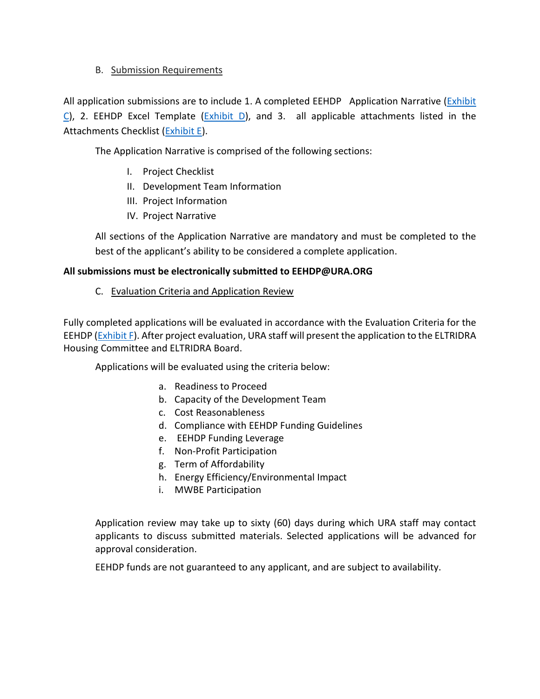## B. Submission Requirements

All application submissions are to include 1. A completed EEHDP Application Narrative (Exhibit  $C$ ), 2. EEHDP Excel Template [\(Exhibit D\)](https://www.ura.org/media/W1siZiIsIjIwMjEvMDEvMDUvMnJpY2p0YXUwbl9FeGhpYml0X0RfRUVIRFBfRXhjZWxfVGVtcGxhdGUueGxzbSJdXQ/Exhibit%20D%20-%20EEHDP_Excel_Template.xlsm), and 3. all applicable attachments listed in the Attachments Checklist [\(Exhibit E\)](https://www.ura.org/media/W1siZiIsIjIwMjEvMDEvMDUvNWdzdGszZzI0aF9FeGhpYml0X0VfRUVIRFBfQXR0YWNobWVudHNfQ2hlY2tsaXN0LnBkZiJdXQ/Exhibit%20E%20-%20EEHDP%20Attachments%20Checklist.pdf).

The Application Narrative is comprised of the following sections:

- I. Project Checklist
- II. Development Team Information
- III. Project Information
- IV. Project Narrative

All sections of the Application Narrative are mandatory and must be completed to the best of the applicant's ability to be considered a complete application.

## **All submissions must be electronically submitted to EEHDP@URA.ORG**

C. Evaluation Criteria and Application Review

Fully completed applications will be evaluated in accordance with the Evaluation Criteria for the EEHDP [\(Exhibit F\)](https://www.ura.org/media/W1siZiIsIjIwMjEvMDEvMDUvMjFvOG9qYm13MV9FeGhpYml0X0ZfRUVIRFBfRXZhbHVhdGlvbl9Dcml0ZXJpYS54bHN4Il1d/Exhibit%20F%20-%20EEHDP%20Evaluation%20Criteria.xlsx). After project evaluation, URA staff will present the application to the ELTRIDRA Housing Committee and ELTRIDRA Board.

Applications will be evaluated using the criteria below:

- a. Readiness to Proceed
- b. Capacity of the Development Team
- c. Cost Reasonableness
- d. Compliance with EEHDP Funding Guidelines
- e. EEHDP Funding Leverage
- f. Non-Profit Participation
- g. Term of Affordability
- h. Energy Efficiency/Environmental Impact
- i. MWBE Participation

Application review may take up to sixty (60) days during which URA staff may contact applicants to discuss submitted materials. Selected applications will be advanced for approval consideration.

EEHDP funds are not guaranteed to any applicant, and are subject to availability.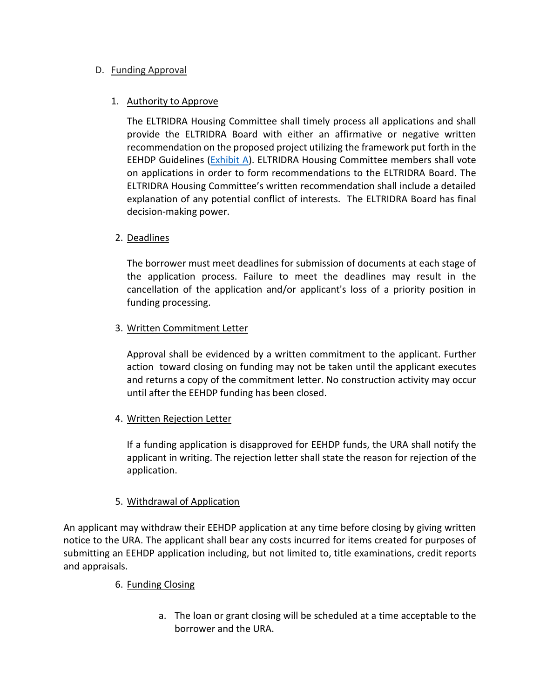## D. Funding Approval

#### 1. Authority to Approve

The ELTRIDRA Housing Committee shall timely process all applications and shall provide the ELTRIDRA Board with either an affirmative or negative written recommendation on the proposed project utilizing the framework put forth in the EEHDP Guidelines [\(Exhibit A\)](https://www.ura.org/media/W1siZiIsIjIwMjEvMDEvMDUvNDh3MjN2NmNsZl9FeGhpYml0X0FfRUVIRFBfR3VpZGVsaW5lcy5wZGYiXV0/Exhibit%20A%20-%20EEHDP%20Guidelines.pdf). ELTRIDRA Housing Committee members shall vote on applications in order to form recommendations to the ELTRIDRA Board. The ELTRIDRA Housing Committee's written recommendation shall include a detailed explanation of any potential conflict of interests. The ELTRIDRA Board has final decision-making power.

#### 2. Deadlines

The borrower must meet deadlines for submission of documents at each stage of the application process. Failure to meet the deadlines may result in the cancellation of the application and/or applicant's loss of a priority position in funding processing.

#### 3. Written Commitment Letter

Approval shall be evidenced by a written commitment to the applicant. Further action toward closing on funding may not be taken until the applicant executes and returns a copy of the commitment letter. No construction activity may occur until after the EEHDP funding has been closed.

#### 4. Written Rejection Letter

If a funding application is disapproved for EEHDP funds, the URA shall notify the applicant in writing. The rejection letter shall state the reason for rejection of the application.

## 5. Withdrawal of Application

An applicant may withdraw their EEHDP application at any time before closing by giving written notice to the URA. The applicant shall bear any costs incurred for items created for purposes of submitting an EEHDP application including, but not limited to, title examinations, credit reports and appraisals.

#### 6. Funding Closing

a. The loan or grant closing will be scheduled at a time acceptable to the borrower and the URA.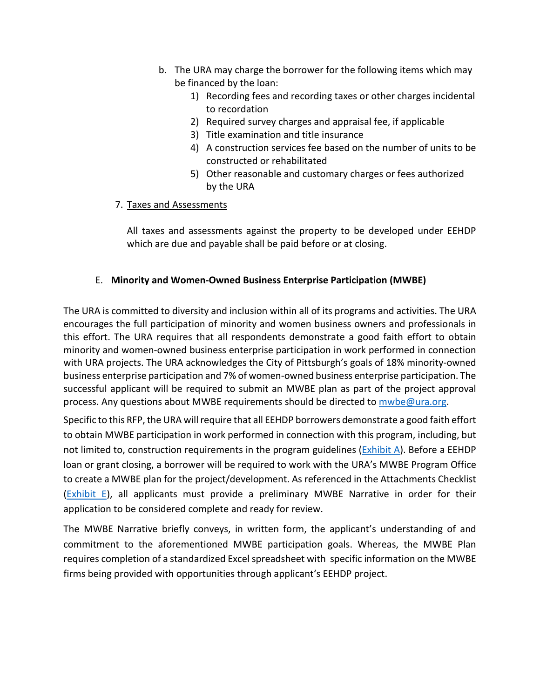- b. The URA may charge the borrower for the following items which may be financed by the loan:
	- 1) Recording fees and recording taxes or other charges incidental to recordation
	- 2) Required survey charges and appraisal fee, if applicable
	- 3) Title examination and title insurance
	- 4) A construction services fee based on the number of units to be constructed or rehabilitated
	- 5) Other reasonable and customary charges or fees authorized by the URA

#### 7. Taxes and Assessments

All taxes and assessments against the property to be developed under EEHDP which are due and payable shall be paid before or at closing.

# E. **Minority and Women-Owned Business Enterprise Participation (MWBE)**

The URA is committed to diversity and inclusion within all of its programs and activities. The URA encourages the full participation of minority and women business owners and professionals in this effort. The URA requires that all respondents demonstrate a good faith effort to obtain minority and women-owned business enterprise participation in work performed in connection with URA projects. The URA acknowledges the City of Pittsburgh's goals of 18% minority-owned business enterprise participation and 7% of women-owned business enterprise participation. The successful applicant will be required to submit an MWBE plan as part of the project approval process. Any questions about MWBE requirements should be directed to *mwbe@ura.org.* 

Specific to this RFP, the URA will require that all EEHDP borrowers demonstrate a good faith effort to obtain MWBE participation in work performed in connection with this program, including, but not limited to, construction requirements in the program guidelines [\(Exhibit A\)](https://www.ura.org/media/W1siZiIsIjIwMjEvMDEvMDUvNDh3MjN2NmNsZl9FeGhpYml0X0FfRUVIRFBfR3VpZGVsaW5lcy5wZGYiXV0/Exhibit%20A%20-%20EEHDP%20Guidelines.pdf). Before a EEHDP loan or grant closing, a borrower will be required to work with the URA's MWBE Program Office to create a MWBE plan for the project/development. As referenced in the Attachments Checklist  $(Exhibit E)$ , all applicants must provide a preliminary MWBE Narrative in order for their application to be considered complete and ready for review.

The MWBE Narrative briefly conveys, in written form, the applicant's understanding of and commitment to the aforementioned MWBE participation goals. Whereas, the MWBE Plan requires completion of a standardized Excel spreadsheet with specific information on the MWBE firms being provided with opportunities through applicant's EEHDP project.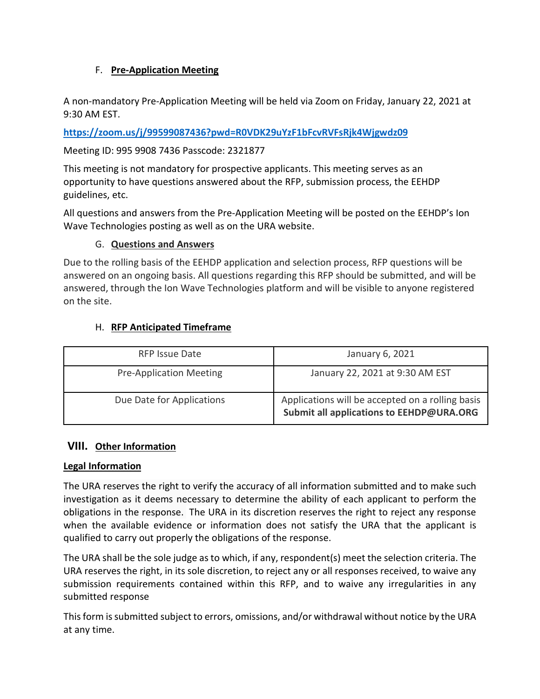# F. **Pre-Application Meeting**

A non-mandatory Pre-Application Meeting will be held via Zoom on Friday, January 22, 2021 at 9:30 AM EST.

**<https://zoom.us/j/99599087436?pwd=R0VDK29uYzF1bFcvRVFsRjk4Wjgwdz09>**

Meeting ID: 995 9908 7436 Passcode: 2321877

This meeting is not mandatory for prospective applicants. This meeting serves as an opportunity to have questions answered about the RFP, submission process, the EEHDP guidelines, etc.

All questions and answers from the Pre-Application Meeting will be posted on the EEHDP's Ion Wave Technologies posting as well as on the URA website.

## G. **Questions and Answers**

Due to the rolling basis of the EEHDP application and selection process, RFP questions will be answered on an ongoing basis. All questions regarding this RFP should be submitted, and will be answered, through the Ion Wave Technologies platform and will be visible to anyone registered on the site.

# H. **RFP Anticipated Timeframe**

| <b>RFP Issue Date</b>          | January 6, 2021                                                                              |
|--------------------------------|----------------------------------------------------------------------------------------------|
| <b>Pre-Application Meeting</b> | January 22, 2021 at 9:30 AM EST                                                              |
| Due Date for Applications      | Applications will be accepted on a rolling basis<br>Submit all applications to EEHDP@URA.ORG |

# **VIII. Other Information**

## **Legal Information**

The URA reserves the right to verify the accuracy of all information submitted and to make such investigation as it deems necessary to determine the ability of each applicant to perform the obligations in the response. The URA in its discretion reserves the right to reject any response when the available evidence or information does not satisfy the URA that the applicant is qualified to carry out properly the obligations of the response.

The URA shall be the sole judge as to which, if any, respondent(s) meet the selection criteria. The URA reserves the right, in its sole discretion, to reject any or all responses received, to waive any submission requirements contained within this RFP, and to waive any irregularities in any submitted response

This form is submitted subject to errors, omissions, and/or withdrawal without notice by the URA at any time.